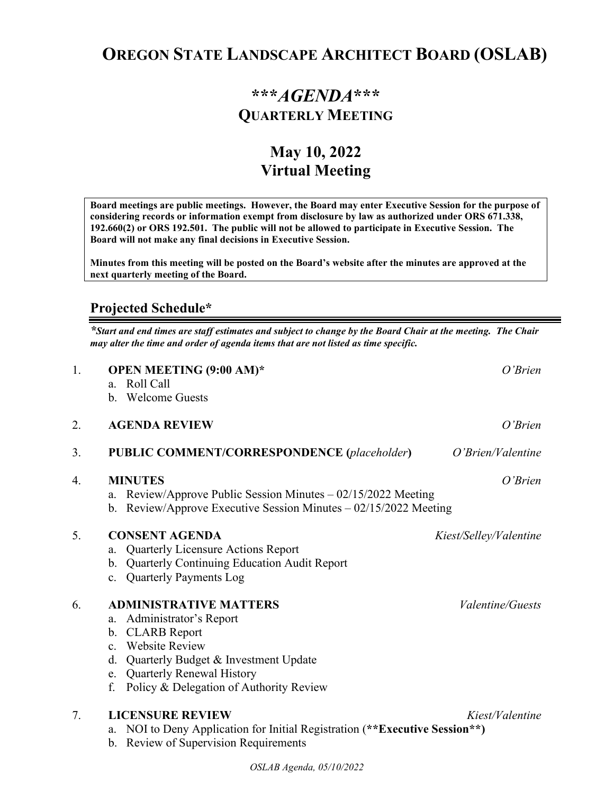# **OREGON STATE LANDSCAPE ARCHITECT BOARD (OSLAB)**

## **\*\*\****AGENDA***\*\*\* QUARTERLY MEETING**

## **May 10, 2022 Virtual Meeting**

**Board meetings are public meetings. However, the Board may enter Executive Session for the purpose of considering records or information exempt from disclosure by law as authorized under ORS 671.338, 192.660(2) or ORS 192.501. The public will not be allowed to participate in Executive Session. The Board will not make any final decisions in Executive Session.** 

**Minutes from this meeting will be posted on the Board's website after the minutes are approved at the next quarterly meeting of the Board.**

#### **Projected Schedule\***

*\*Start and end times are staff estimates and subject to change by the Board Chair at the meeting. The Chair may alter the time and order of agenda items that are not listed as time specific.* 

| 1. | OPEN MEETING (9:00 AM)*<br>Roll Call<br>$a_{\cdot}$<br>b. Welcome Guests                                                                                                                                                                                                | $O'$ Brien              |  |
|----|-------------------------------------------------------------------------------------------------------------------------------------------------------------------------------------------------------------------------------------------------------------------------|-------------------------|--|
| 2. | <b>AGENDA REVIEW</b>                                                                                                                                                                                                                                                    | O'Brien                 |  |
| 3. | <b>PUBLIC COMMENT/CORRESPONDENCE (placeholder)</b>                                                                                                                                                                                                                      | O'Brien/Valentine       |  |
| 4. | <b>MINUTES</b><br>O'Brien<br>Review/Approve Public Session Minutes $-02/15/2022$ Meeting<br>a.<br>Review/Approve Executive Session Minutes - 02/15/2022 Meeting<br>b.                                                                                                   |                         |  |
| 5. | <b>CONSENT AGENDA</b><br>Quarterly Licensure Actions Report<br>a.<br>Quarterly Continuing Education Audit Report<br>b.<br><b>Quarterly Payments Log</b><br>$c_{\cdot}$                                                                                                  | Kiest/Selley/Valentine  |  |
| 6. | <b>ADMINISTRATIVE MATTERS</b><br>Administrator's Report<br>a.<br><b>CLARB</b> Report<br>b.<br><b>Website Review</b><br>$\mathbf{c}$ .<br>Quarterly Budget & Investment Update<br>d.<br>Quarterly Renewal History<br>e.<br>Policy & Delegation of Authority Review<br>f. | <i>Valentine/Guests</i> |  |
| 7. | <b>LICENSURE REVIEW</b><br>NOI to Deny Application for Initial Registration (**Executive Session**)<br>a.<br><b>Review of Supervision Requirements</b><br>b.                                                                                                            | Kiest/Valentine         |  |